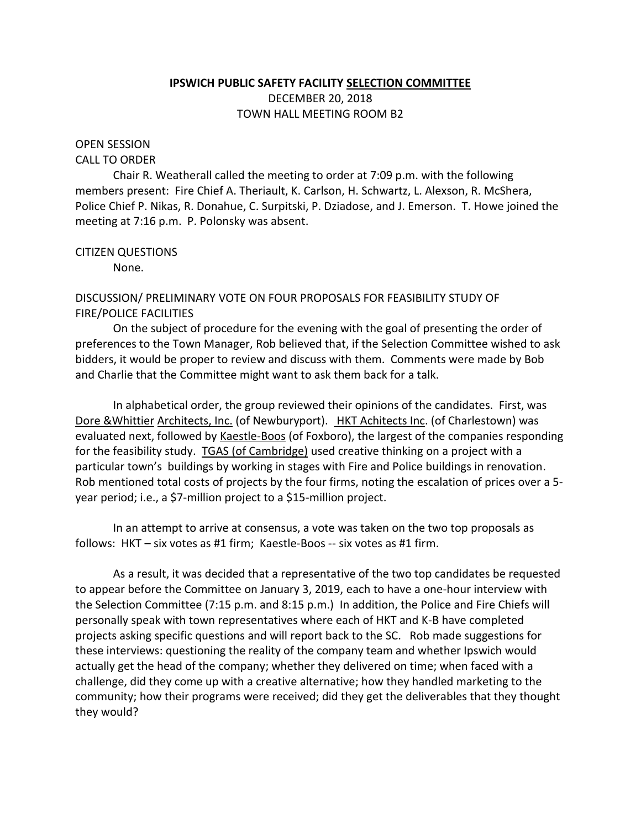## **IPSWICH PUBLIC SAFETY FACILITY SELECTION COMMITTEE** DECEMBER 20, 2018 TOWN HALL MEETING ROOM B2

## OPEN SESSION

#### CALL TO ORDER

Chair R. Weatherall called the meeting to order at 7:09 p.m. with the following members present: Fire Chief A. Theriault, K. Carlson, H. Schwartz, L. Alexson, R. McShera, Police Chief P. Nikas, R. Donahue, C. Surpitski, P. Dziadose, and J. Emerson. T. Howe joined the meeting at 7:16 p.m. P. Polonsky was absent.

## CITIZEN QUESTIONS

None.

# DISCUSSION/ PRELIMINARY VOTE ON FOUR PROPOSALS FOR FEASIBILITY STUDY OF FIRE/POLICE FACILITIES

On the subject of procedure for the evening with the goal of presenting the order of preferences to the Town Manager, Rob believed that, if the Selection Committee wished to ask bidders, it would be proper to review and discuss with them. Comments were made by Bob and Charlie that the Committee might want to ask them back for a talk.

In alphabetical order, the group reviewed their opinions of the candidates. First, was Dore &Whittier Architects, Inc. (of Newburyport). HKT Achitects Inc. (of Charlestown) was evaluated next, followed by Kaestle-Boos (of Foxboro), the largest of the companies responding for the feasibility study. **TGAS** (of Cambridge) used creative thinking on a project with a particular town's buildings by working in stages with Fire and Police buildings in renovation. Rob mentioned total costs of projects by the four firms, noting the escalation of prices over a 5 year period; i.e., a \$7-million project to a \$15-million project.

In an attempt to arrive at consensus, a vote was taken on the two top proposals as follows: HKT – six votes as #1 firm; Kaestle-Boos -- six votes as #1 firm.

As a result, it was decided that a representative of the two top candidates be requested to appear before the Committee on January 3, 2019, each to have a one-hour interview with the Selection Committee (7:15 p.m. and 8:15 p.m.) In addition, the Police and Fire Chiefs will personally speak with town representatives where each of HKT and K-B have completed projects asking specific questions and will report back to the SC. Rob made suggestions for these interviews: questioning the reality of the company team and whether Ipswich would actually get the head of the company; whether they delivered on time; when faced with a challenge, did they come up with a creative alternative; how they handled marketing to the community; how their programs were received; did they get the deliverables that they thought they would?